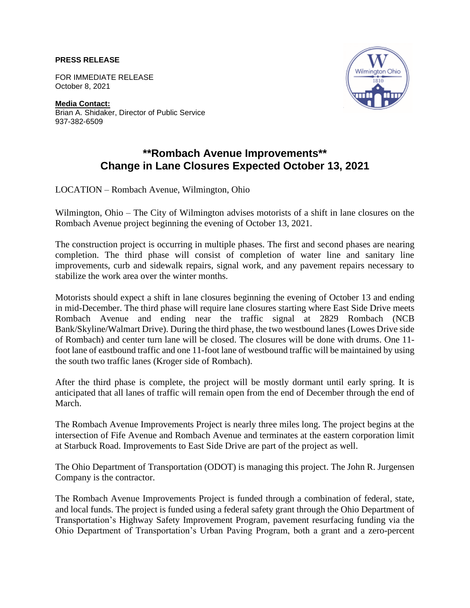## **PRESS RELEASE**

FOR IMMEDIATE RELEASE October 8, 2021

**Media Contact:** Brian A. Shidaker, Director of Public Service 937-382-6509



## **\*\*Rombach Avenue Improvements\*\* Change in Lane Closures Expected October 13, 2021**

LOCATION – Rombach Avenue, Wilmington, Ohio

Wilmington, Ohio – The City of Wilmington advises motorists of a shift in lane closures on the Rombach Avenue project beginning the evening of October 13, 2021.

The construction project is occurring in multiple phases. The first and second phases are nearing completion. The third phase will consist of completion of water line and sanitary line improvements, curb and sidewalk repairs, signal work, and any pavement repairs necessary to stabilize the work area over the winter months.

Motorists should expect a shift in lane closures beginning the evening of October 13 and ending in mid-December. The third phase will require lane closures starting where East Side Drive meets Rombach Avenue and ending near the traffic signal at 2829 Rombach (NCB Bank/Skyline/Walmart Drive). During the third phase, the two westbound lanes (Lowes Drive side of Rombach) and center turn lane will be closed. The closures will be done with drums. One 11 foot lane of eastbound traffic and one 11-foot lane of westbound traffic will be maintained by using the south two traffic lanes (Kroger side of Rombach).

After the third phase is complete, the project will be mostly dormant until early spring. It is anticipated that all lanes of traffic will remain open from the end of December through the end of March.

The Rombach Avenue Improvements Project is nearly three miles long. The project begins at the intersection of Fife Avenue and Rombach Avenue and terminates at the eastern corporation limit at Starbuck Road. Improvements to East Side Drive are part of the project as well.

The Ohio Department of Transportation (ODOT) is managing this project. The John R. Jurgensen Company is the contractor.

The Rombach Avenue Improvements Project is funded through a combination of federal, state, and local funds. The project is funded using a federal safety grant through the Ohio Department of Transportation's Highway Safety Improvement Program, pavement resurfacing funding via the Ohio Department of Transportation's Urban Paving Program, both a grant and a zero-percent